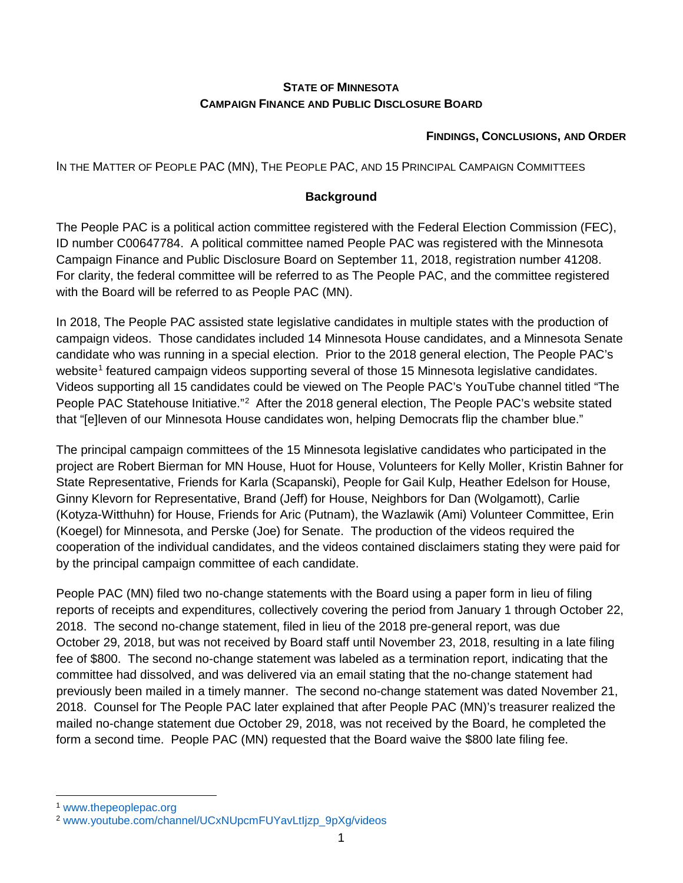#### **STATE OF MINNESOTA CAMPAIGN FINANCE AND PUBLIC DISCLOSURE BOARD**

#### **FINDINGS, CONCLUSIONS, AND ORDER**

IN THE MATTER OF PEOPLE PAC (MN), THE PEOPLE PAC, AND 15 PRINCIPAL CAMPAIGN COMMITTEES

#### **Background**

The People PAC is a political action committee registered with the Federal Election Commission (FEC), ID number C00647784. A political committee named People PAC was registered with the Minnesota Campaign Finance and Public Disclosure Board on September 11, 2018, registration number 41208. For clarity, the federal committee will be referred to as The People PAC, and the committee registered with the Board will be referred to as People PAC (MN).

In 2018, The People PAC assisted state legislative candidates in multiple states with the production of campaign videos. Those candidates included 14 Minnesota House candidates, and a Minnesota Senate candidate who was running in a special election. Prior to the 2018 general election, The People PAC's website<sup>[1](#page-0-0)</sup> featured campaign videos supporting several of those 15 Minnesota legislative candidates. Videos supporting all 15 candidates could be viewed on The People PAC's YouTube channel titled "The People PAC Statehouse Initiative."<sup>[2](#page-0-1)</sup> After the 2018 general election, The People PAC's website stated that "[e]leven of our Minnesota House candidates won, helping Democrats flip the chamber blue."

The principal campaign committees of the 15 Minnesota legislative candidates who participated in the project are Robert Bierman for MN House, Huot for House, Volunteers for Kelly Moller, Kristin Bahner for State Representative, Friends for Karla (Scapanski), People for Gail Kulp, Heather Edelson for House, Ginny Klevorn for Representative, Brand (Jeff) for House, Neighbors for Dan (Wolgamott), Carlie (Kotyza-Witthuhn) for House, Friends for Aric (Putnam), the Wazlawik (Ami) Volunteer Committee, Erin (Koegel) for Minnesota, and Perske (Joe) for Senate. The production of the videos required the cooperation of the individual candidates, and the videos contained disclaimers stating they were paid for by the principal campaign committee of each candidate.

People PAC (MN) filed two no-change statements with the Board using a paper form in lieu of filing reports of receipts and expenditures, collectively covering the period from January 1 through October 22, 2018. The second no-change statement, filed in lieu of the 2018 pre-general report, was due October 29, 2018, but was not received by Board staff until November 23, 2018, resulting in a late filing fee of \$800. The second no-change statement was labeled as a termination report, indicating that the committee had dissolved, and was delivered via an email stating that the no-change statement had previously been mailed in a timely manner. The second no-change statement was dated November 21, 2018. Counsel for The People PAC later explained that after People PAC (MN)'s treasurer realized the mailed no-change statement due October 29, 2018, was not received by the Board, he completed the form a second time. People PAC (MN) requested that the Board waive the \$800 late filing fee.

<span id="page-0-0"></span> <sup>1</sup> [www.thepeoplepac.org](https://www.thepeoplepac.org/)

<span id="page-0-1"></span><sup>2</sup> [www.youtube.com/channel/UCxNUpcmFUYavLtIjzp\\_9pXg/videos](https://www.youtube.com/channel/UCxNUpcmFUYavLtIjzp_9pXg/videos)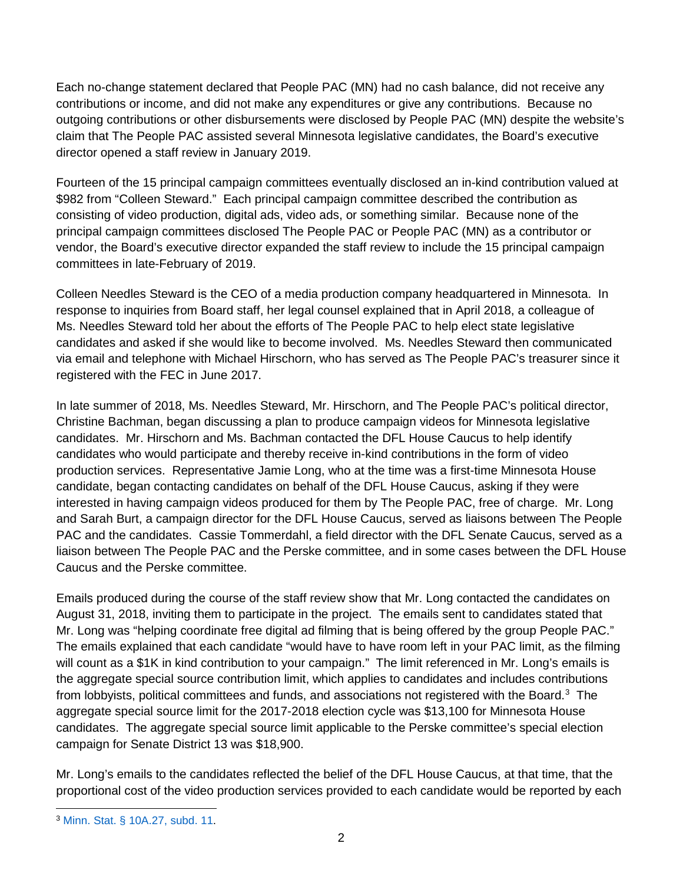Each no-change statement declared that People PAC (MN) had no cash balance, did not receive any contributions or income, and did not make any expenditures or give any contributions. Because no outgoing contributions or other disbursements were disclosed by People PAC (MN) despite the website's claim that The People PAC assisted several Minnesota legislative candidates, the Board's executive director opened a staff review in January 2019.

Fourteen of the 15 principal campaign committees eventually disclosed an in-kind contribution valued at \$982 from "Colleen Steward." Each principal campaign committee described the contribution as consisting of video production, digital ads, video ads, or something similar. Because none of the principal campaign committees disclosed The People PAC or People PAC (MN) as a contributor or vendor, the Board's executive director expanded the staff review to include the 15 principal campaign committees in late-February of 2019.

Colleen Needles Steward is the CEO of a media production company headquartered in Minnesota. In response to inquiries from Board staff, her legal counsel explained that in April 2018, a colleague of Ms. Needles Steward told her about the efforts of The People PAC to help elect state legislative candidates and asked if she would like to become involved. Ms. Needles Steward then communicated via email and telephone with Michael Hirschorn, who has served as The People PAC's treasurer since it registered with the FEC in June 2017.

In late summer of 2018, Ms. Needles Steward, Mr. Hirschorn, and The People PAC's political director, Christine Bachman, began discussing a plan to produce campaign videos for Minnesota legislative candidates. Mr. Hirschorn and Ms. Bachman contacted the DFL House Caucus to help identify candidates who would participate and thereby receive in-kind contributions in the form of video production services. Representative Jamie Long, who at the time was a first-time Minnesota House candidate, began contacting candidates on behalf of the DFL House Caucus, asking if they were interested in having campaign videos produced for them by The People PAC, free of charge. Mr. Long and Sarah Burt, a campaign director for the DFL House Caucus, served as liaisons between The People PAC and the candidates. Cassie Tommerdahl, a field director with the DFL Senate Caucus, served as a liaison between The People PAC and the Perske committee, and in some cases between the DFL House Caucus and the Perske committee.

Emails produced during the course of the staff review show that Mr. Long contacted the candidates on August 31, 2018, inviting them to participate in the project. The emails sent to candidates stated that Mr. Long was "helping coordinate free digital ad filming that is being offered by the group People PAC." The emails explained that each candidate "would have to have room left in your PAC limit, as the filming will count as a \$1K in kind contribution to your campaign." The limit referenced in Mr. Long's emails is the aggregate special source contribution limit, which applies to candidates and includes contributions from lobbyists, political committees and funds, and associations not registered with the Board.<sup>[3](#page-1-0)</sup> The aggregate special source limit for the 2017-2018 election cycle was \$13,100 for Minnesota House candidates. The aggregate special source limit applicable to the Perske committee's special election campaign for Senate District 13 was \$18,900.

Mr. Long's emails to the candidates reflected the belief of the DFL House Caucus, at that time, that the proportional cost of the video production services provided to each candidate would be reported by each

<span id="page-1-0"></span> <sup>3</sup> [Minn. Stat. § 10A.27, subd. 11.](https://www.revisor.mn.gov/statutes/cite/10A.27#stat.10A.27.11)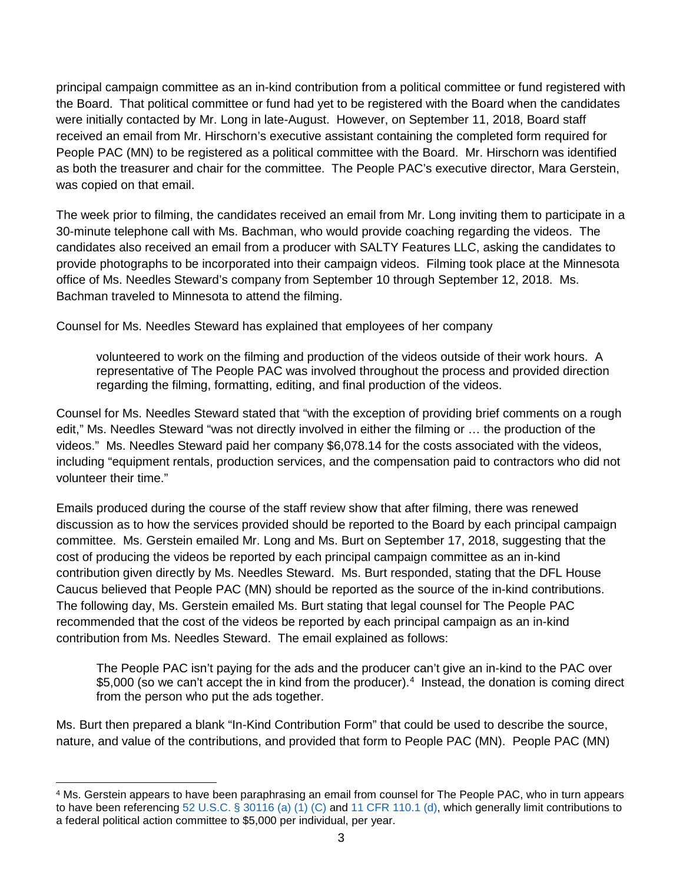principal campaign committee as an in-kind contribution from a political committee or fund registered with the Board. That political committee or fund had yet to be registered with the Board when the candidates were initially contacted by Mr. Long in late-August. However, on September 11, 2018, Board staff received an email from Mr. Hirschorn's executive assistant containing the completed form required for People PAC (MN) to be registered as a political committee with the Board. Mr. Hirschorn was identified as both the treasurer and chair for the committee. The People PAC's executive director, Mara Gerstein, was copied on that email.

The week prior to filming, the candidates received an email from Mr. Long inviting them to participate in a 30-minute telephone call with Ms. Bachman, who would provide coaching regarding the videos. The candidates also received an email from a producer with SALTY Features LLC, asking the candidates to provide photographs to be incorporated into their campaign videos. Filming took place at the Minnesota office of Ms. Needles Steward's company from September 10 through September 12, 2018. Ms. Bachman traveled to Minnesota to attend the filming.

Counsel for Ms. Needles Steward has explained that employees of her company

volunteered to work on the filming and production of the videos outside of their work hours. A representative of The People PAC was involved throughout the process and provided direction regarding the filming, formatting, editing, and final production of the videos.

Counsel for Ms. Needles Steward stated that "with the exception of providing brief comments on a rough edit," Ms. Needles Steward "was not directly involved in either the filming or … the production of the videos." Ms. Needles Steward paid her company \$6,078.14 for the costs associated with the videos, including "equipment rentals, production services, and the compensation paid to contractors who did not volunteer their time."

Emails produced during the course of the staff review show that after filming, there was renewed discussion as to how the services provided should be reported to the Board by each principal campaign committee. Ms. Gerstein emailed Mr. Long and Ms. Burt on September 17, 2018, suggesting that the cost of producing the videos be reported by each principal campaign committee as an in-kind contribution given directly by Ms. Needles Steward. Ms. Burt responded, stating that the DFL House Caucus believed that People PAC (MN) should be reported as the source of the in-kind contributions. The following day, Ms. Gerstein emailed Ms. Burt stating that legal counsel for The People PAC recommended that the cost of the videos be reported by each principal campaign as an in-kind contribution from Ms. Needles Steward. The email explained as follows:

The People PAC isn't paying for the ads and the producer can't give an in-kind to the PAC over \$5,000 (so we can't accept the in kind from the producer).<sup>[4](#page-2-0)</sup> Instead, the donation is coming direct from the person who put the ads together.

Ms. Burt then prepared a blank "In-Kind Contribution Form" that could be used to describe the source, nature, and value of the contributions, and provided that form to People PAC (MN). People PAC (MN)

<span id="page-2-0"></span> <sup>4</sup> Ms. Gerstein appears to have been paraphrasing an email from counsel for The People PAC, who in turn appears to have been referencing [52 U.S.C. § 30116 \(a\) \(1\) \(C\)](http://uscode.house.gov/view.xhtml?req=granuleid:USC-prelim-title52-section30116&num=0&edition=prelim) and [11 CFR 110.1 \(d\),](https://www.fec.gov/regulations/110-1/2019-annual-110) which generally limit contributions to a federal political action committee to \$5,000 per individual, per year.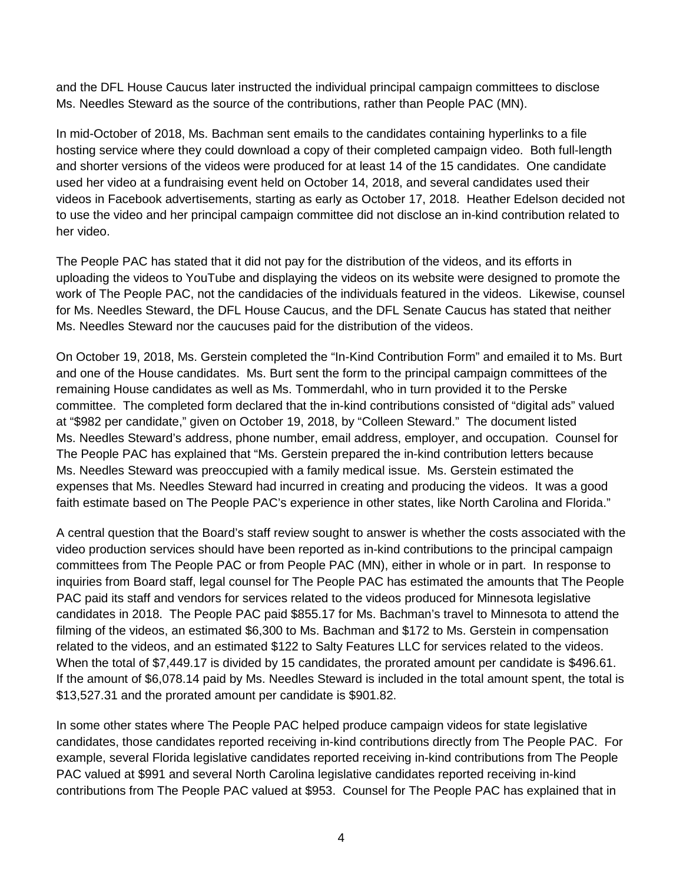and the DFL House Caucus later instructed the individual principal campaign committees to disclose Ms. Needles Steward as the source of the contributions, rather than People PAC (MN).

In mid-October of 2018, Ms. Bachman sent emails to the candidates containing hyperlinks to a file hosting service where they could download a copy of their completed campaign video. Both full-length and shorter versions of the videos were produced for at least 14 of the 15 candidates. One candidate used her video at a fundraising event held on October 14, 2018, and several candidates used their videos in Facebook advertisements, starting as early as October 17, 2018. Heather Edelson decided not to use the video and her principal campaign committee did not disclose an in-kind contribution related to her video.

The People PAC has stated that it did not pay for the distribution of the videos, and its efforts in uploading the videos to YouTube and displaying the videos on its website were designed to promote the work of The People PAC, not the candidacies of the individuals featured in the videos. Likewise, counsel for Ms. Needles Steward, the DFL House Caucus, and the DFL Senate Caucus has stated that neither Ms. Needles Steward nor the caucuses paid for the distribution of the videos.

On October 19, 2018, Ms. Gerstein completed the "In-Kind Contribution Form" and emailed it to Ms. Burt and one of the House candidates. Ms. Burt sent the form to the principal campaign committees of the remaining House candidates as well as Ms. Tommerdahl, who in turn provided it to the Perske committee. The completed form declared that the in-kind contributions consisted of "digital ads" valued at "\$982 per candidate," given on October 19, 2018, by "Colleen Steward." The document listed Ms. Needles Steward's address, phone number, email address, employer, and occupation. Counsel for The People PAC has explained that "Ms. Gerstein prepared the in-kind contribution letters because Ms. Needles Steward was preoccupied with a family medical issue. Ms. Gerstein estimated the expenses that Ms. Needles Steward had incurred in creating and producing the videos. It was a good faith estimate based on The People PAC's experience in other states, like North Carolina and Florida."

A central question that the Board's staff review sought to answer is whether the costs associated with the video production services should have been reported as in-kind contributions to the principal campaign committees from The People PAC or from People PAC (MN), either in whole or in part. In response to inquiries from Board staff, legal counsel for The People PAC has estimated the amounts that The People PAC paid its staff and vendors for services related to the videos produced for Minnesota legislative candidates in 2018. The People PAC paid \$855.17 for Ms. Bachman's travel to Minnesota to attend the filming of the videos, an estimated \$6,300 to Ms. Bachman and \$172 to Ms. Gerstein in compensation related to the videos, and an estimated \$122 to Salty Features LLC for services related to the videos. When the total of \$7,449.17 is divided by 15 candidates, the prorated amount per candidate is \$496.61. If the amount of \$6,078.14 paid by Ms. Needles Steward is included in the total amount spent, the total is \$13,527.31 and the prorated amount per candidate is \$901.82.

In some other states where The People PAC helped produce campaign videos for state legislative candidates, those candidates reported receiving in-kind contributions directly from The People PAC. For example, several Florida legislative candidates reported receiving in-kind contributions from The People PAC valued at \$991 and several North Carolina legislative candidates reported receiving in-kind contributions from The People PAC valued at \$953. Counsel for The People PAC has explained that in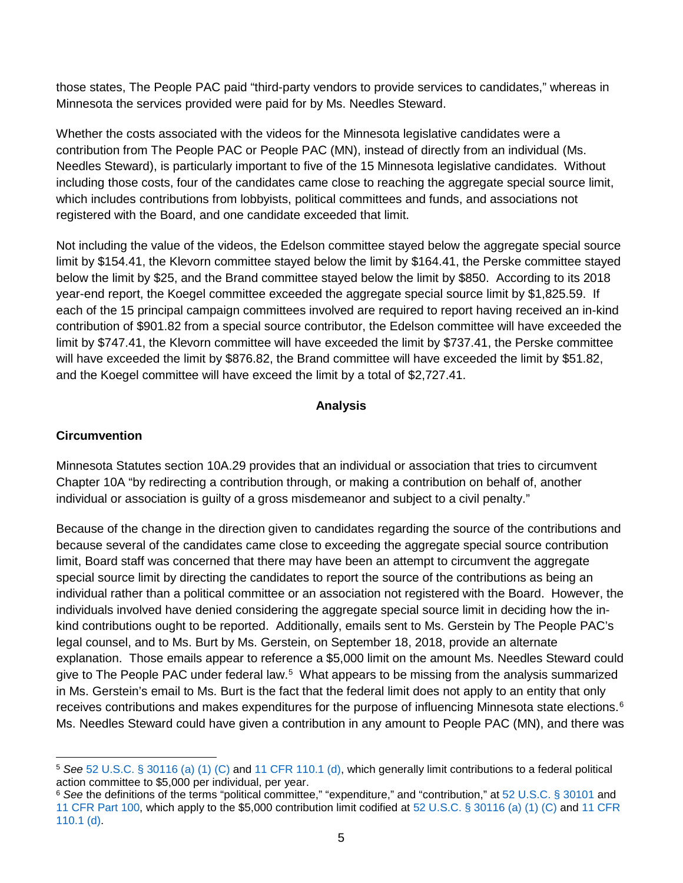those states, The People PAC paid "third-party vendors to provide services to candidates," whereas in Minnesota the services provided were paid for by Ms. Needles Steward.

Whether the costs associated with the videos for the Minnesota legislative candidates were a contribution from The People PAC or People PAC (MN), instead of directly from an individual (Ms. Needles Steward), is particularly important to five of the 15 Minnesota legislative candidates. Without including those costs, four of the candidates came close to reaching the aggregate special source limit, which includes contributions from lobbyists, political committees and funds, and associations not registered with the Board, and one candidate exceeded that limit.

Not including the value of the videos, the Edelson committee stayed below the aggregate special source limit by \$154.41, the Klevorn committee stayed below the limit by \$164.41, the Perske committee stayed below the limit by \$25, and the Brand committee stayed below the limit by \$850. According to its 2018 year-end report, the Koegel committee exceeded the aggregate special source limit by \$1,825.59. If each of the 15 principal campaign committees involved are required to report having received an in-kind contribution of \$901.82 from a special source contributor, the Edelson committee will have exceeded the limit by \$747.41, the Klevorn committee will have exceeded the limit by \$737.41, the Perske committee will have exceeded the limit by \$876.82, the Brand committee will have exceeded the limit by \$51.82, and the Koegel committee will have exceed the limit by a total of \$2,727.41.

#### **Analysis**

### **Circumvention**

Minnesota Statutes section 10A.29 provides that an individual or association that tries to circumvent Chapter 10A "by redirecting a contribution through, or making a contribution on behalf of, another individual or association is guilty of a gross misdemeanor and subject to a civil penalty."

Because of the change in the direction given to candidates regarding the source of the contributions and because several of the candidates came close to exceeding the aggregate special source contribution limit, Board staff was concerned that there may have been an attempt to circumvent the aggregate special source limit by directing the candidates to report the source of the contributions as being an individual rather than a political committee or an association not registered with the Board. However, the individuals involved have denied considering the aggregate special source limit in deciding how the inkind contributions ought to be reported. Additionally, emails sent to Ms. Gerstein by The People PAC's legal counsel, and to Ms. Burt by Ms. Gerstein, on September 18, 2018, provide an alternate explanation. Those emails appear to reference a \$5,000 limit on the amount Ms. Needles Steward could give to The People PAC under federal law.<sup>[5](#page-4-0)</sup> What appears to be missing from the analysis summarized in Ms. Gerstein's email to Ms. Burt is the fact that the federal limit does not apply to an entity that only receives contributions and makes expenditures for the purpose of influencing Minnesota state elections.<sup>[6](#page-4-1)</sup> Ms. Needles Steward could have given a contribution in any amount to People PAC (MN), and there was

<span id="page-4-0"></span> <sup>5</sup> *See* [52 U.S.C. § 30116 \(a\) \(1\) \(C\)](http://uscode.house.gov/view.xhtml?req=granuleid:USC-prelim-title52-section30116&num=0&edition=prelim) and [11 CFR 110.1 \(d\),](https://www.fec.gov/regulations/110-1/2019-annual-110) which generally limit contributions to a federal political action committee to \$5,000 per individual, per year.

<span id="page-4-1"></span><sup>6</sup> *See* the definitions of the terms "political committee," "expenditure," and "contribution," at [52 U.S.C. § 30101](http://uscode.house.gov/view.xhtml?req=granuleid:USC-prelim-title52-section30101&num=0&edition=prelim) and [11 CFR Part 100,](https://www.fec.gov/regulations/100) which apply to the \$5,000 contribution limit codified at [52 U.S.C. § 30116 \(a\) \(1\) \(C\)](http://uscode.house.gov/view.xhtml?req=granuleid:USC-prelim-title52-section30116&num=0&edition=prelim) and [11 CFR](https://www.fec.gov/regulations/110-1/2019-annual-110)  [110.1 \(d\).](https://www.fec.gov/regulations/110-1/2019-annual-110)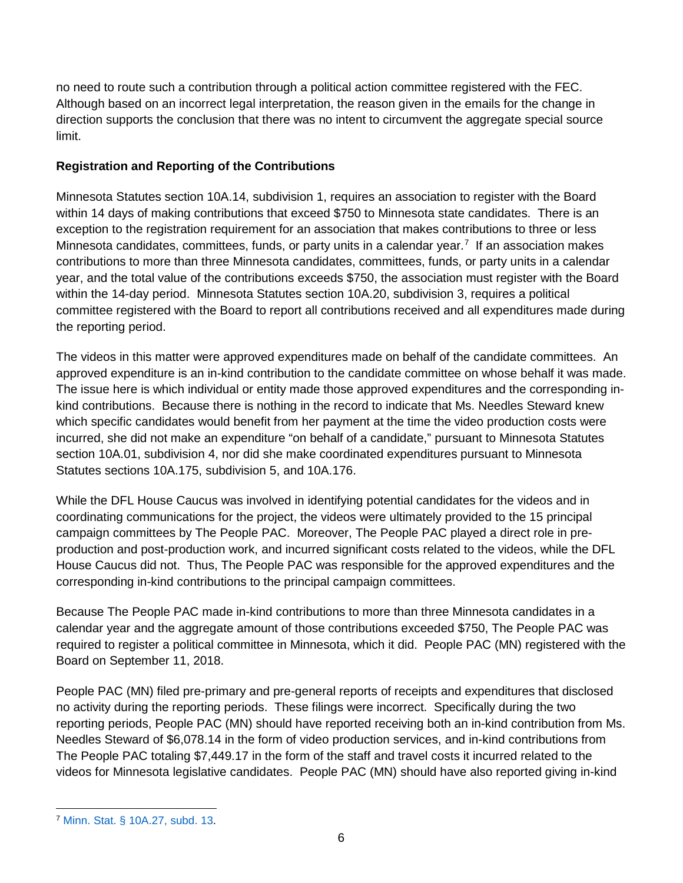no need to route such a contribution through a political action committee registered with the FEC. Although based on an incorrect legal interpretation, the reason given in the emails for the change in direction supports the conclusion that there was no intent to circumvent the aggregate special source limit.

### **Registration and Reporting of the Contributions**

Minnesota Statutes section 10A.14, subdivision 1, requires an association to register with the Board within 14 days of making contributions that exceed \$750 to Minnesota state candidates. There is an exception to the registration requirement for an association that makes contributions to three or less Minnesota candidates, committees, funds, or party units in a calendar year.<sup>[7](#page-5-0)</sup> If an association makes contributions to more than three Minnesota candidates, committees, funds, or party units in a calendar year, and the total value of the contributions exceeds \$750, the association must register with the Board within the 14-day period. Minnesota Statutes section 10A.20, subdivision 3, requires a political committee registered with the Board to report all contributions received and all expenditures made during the reporting period.

The videos in this matter were approved expenditures made on behalf of the candidate committees. An approved expenditure is an in-kind contribution to the candidate committee on whose behalf it was made. The issue here is which individual or entity made those approved expenditures and the corresponding inkind contributions. Because there is nothing in the record to indicate that Ms. Needles Steward knew which specific candidates would benefit from her payment at the time the video production costs were incurred, she did not make an expenditure "on behalf of a candidate," pursuant to Minnesota Statutes section 10A.01, subdivision 4, nor did she make coordinated expenditures pursuant to Minnesota Statutes sections 10A.175, subdivision 5, and 10A.176.

While the DFL House Caucus was involved in identifying potential candidates for the videos and in coordinating communications for the project, the videos were ultimately provided to the 15 principal campaign committees by The People PAC. Moreover, The People PAC played a direct role in preproduction and post-production work, and incurred significant costs related to the videos, while the DFL House Caucus did not. Thus, The People PAC was responsible for the approved expenditures and the corresponding in-kind contributions to the principal campaign committees.

Because The People PAC made in-kind contributions to more than three Minnesota candidates in a calendar year and the aggregate amount of those contributions exceeded \$750, The People PAC was required to register a political committee in Minnesota, which it did. People PAC (MN) registered with the Board on September 11, 2018.

People PAC (MN) filed pre-primary and pre-general reports of receipts and expenditures that disclosed no activity during the reporting periods. These filings were incorrect. Specifically during the two reporting periods, People PAC (MN) should have reported receiving both an in-kind contribution from Ms. Needles Steward of \$6,078.14 in the form of video production services, and in-kind contributions from The People PAC totaling \$7,449.17 in the form of the staff and travel costs it incurred related to the videos for Minnesota legislative candidates. People PAC (MN) should have also reported giving in-kind

<span id="page-5-0"></span> <sup>7</sup> [Minn. Stat. § 10A.27, subd. 13.](https://www.revisor.mn.gov/statutes/cite/10A.27#stat.10A.27.13)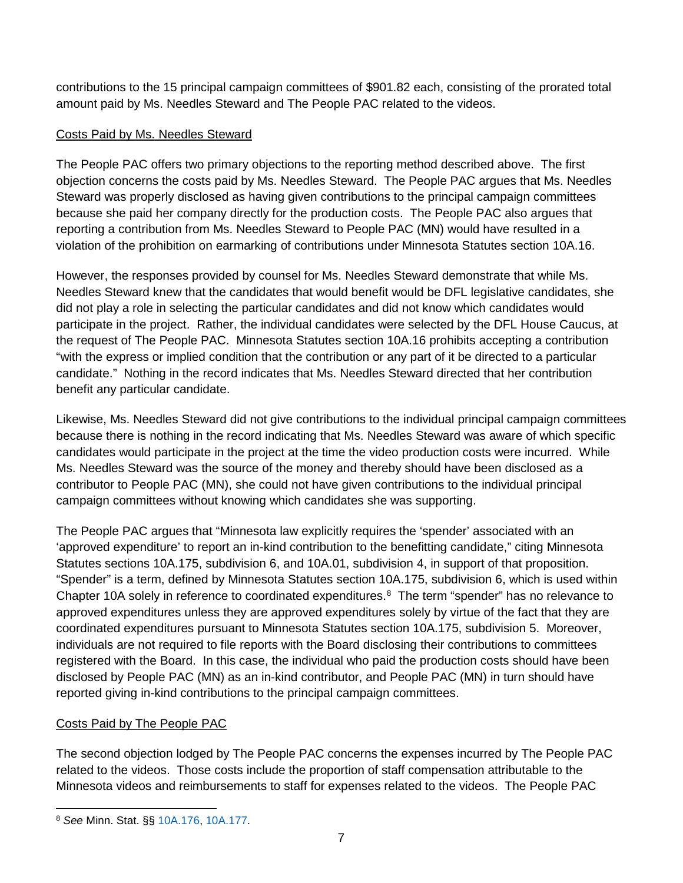contributions to the 15 principal campaign committees of \$901.82 each, consisting of the prorated total amount paid by Ms. Needles Steward and The People PAC related to the videos.

### Costs Paid by Ms. Needles Steward

The People PAC offers two primary objections to the reporting method described above. The first objection concerns the costs paid by Ms. Needles Steward. The People PAC argues that Ms. Needles Steward was properly disclosed as having given contributions to the principal campaign committees because she paid her company directly for the production costs. The People PAC also argues that reporting a contribution from Ms. Needles Steward to People PAC (MN) would have resulted in a violation of the prohibition on earmarking of contributions under Minnesota Statutes section 10A.16.

However, the responses provided by counsel for Ms. Needles Steward demonstrate that while Ms. Needles Steward knew that the candidates that would benefit would be DFL legislative candidates, she did not play a role in selecting the particular candidates and did not know which candidates would participate in the project. Rather, the individual candidates were selected by the DFL House Caucus, at the request of The People PAC. Minnesota Statutes section 10A.16 prohibits accepting a contribution "with the express or implied condition that the contribution or any part of it be directed to a particular candidate." Nothing in the record indicates that Ms. Needles Steward directed that her contribution benefit any particular candidate.

Likewise, Ms. Needles Steward did not give contributions to the individual principal campaign committees because there is nothing in the record indicating that Ms. Needles Steward was aware of which specific candidates would participate in the project at the time the video production costs were incurred. While Ms. Needles Steward was the source of the money and thereby should have been disclosed as a contributor to People PAC (MN), she could not have given contributions to the individual principal campaign committees without knowing which candidates she was supporting.

The People PAC argues that "Minnesota law explicitly requires the 'spender' associated with an 'approved expenditure' to report an in-kind contribution to the benefitting candidate," citing Minnesota Statutes sections 10A.175, subdivision 6, and 10A.01, subdivision 4, in support of that proposition. "Spender" is a term, defined by Minnesota Statutes section 10A.175, subdivision 6, which is used within Chapter 10A solely in reference to coordinated expenditures.<sup>[8](#page-6-0)</sup> The term "spender" has no relevance to approved expenditures unless they are approved expenditures solely by virtue of the fact that they are coordinated expenditures pursuant to Minnesota Statutes section 10A.175, subdivision 5. Moreover, individuals are not required to file reports with the Board disclosing their contributions to committees registered with the Board. In this case, the individual who paid the production costs should have been disclosed by People PAC (MN) as an in-kind contributor, and People PAC (MN) in turn should have reported giving in-kind contributions to the principal campaign committees.

## Costs Paid by The People PAC

The second objection lodged by The People PAC concerns the expenses incurred by The People PAC related to the videos. Those costs include the proportion of staff compensation attributable to the Minnesota videos and reimbursements to staff for expenses related to the videos. The People PAC

<span id="page-6-0"></span> <sup>8</sup> *See* Minn. Stat. §§ [10A.176,](https://www.revisor.mn.gov/statutes/cite/10A.176) [10A.177.](https://www.revisor.mn.gov/statutes/cite/10A.177)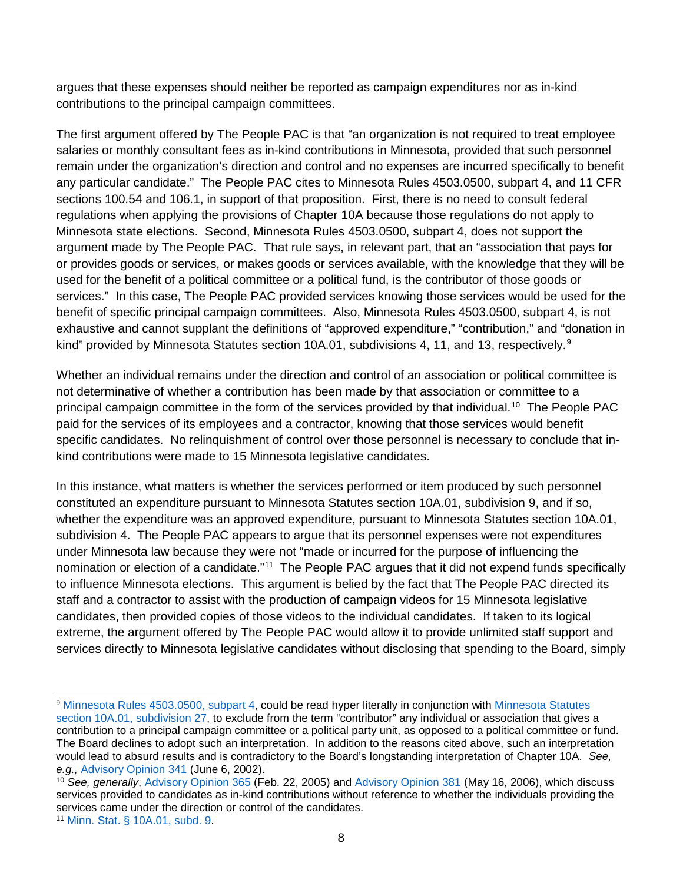argues that these expenses should neither be reported as campaign expenditures nor as in-kind contributions to the principal campaign committees.

The first argument offered by The People PAC is that "an organization is not required to treat employee salaries or monthly consultant fees as in-kind contributions in Minnesota, provided that such personnel remain under the organization's direction and control and no expenses are incurred specifically to benefit any particular candidate." The People PAC cites to Minnesota Rules 4503.0500, subpart 4, and 11 CFR sections 100.54 and 106.1, in support of that proposition. First, there is no need to consult federal regulations when applying the provisions of Chapter 10A because those regulations do not apply to Minnesota state elections. Second, Minnesota Rules 4503.0500, subpart 4, does not support the argument made by The People PAC. That rule says, in relevant part, that an "association that pays for or provides goods or services, or makes goods or services available, with the knowledge that they will be used for the benefit of a political committee or a political fund, is the contributor of those goods or services." In this case, The People PAC provided services knowing those services would be used for the benefit of specific principal campaign committees. Also, Minnesota Rules 4503.0500, subpart 4, is not exhaustive and cannot supplant the definitions of "approved expenditure," "contribution," and "donation in kind" provided by Minnesota Statutes section 10A.01, subdivisions 4, 11, and 13, respectively.<sup>[9](#page-7-0)</sup>

Whether an individual remains under the direction and control of an association or political committee is not determinative of whether a contribution has been made by that association or committee to a principal campaign committee in the form of the services provided by that individual.<sup>[10](#page-7-1)</sup> The People PAC paid for the services of its employees and a contractor, knowing that those services would benefit specific candidates. No relinquishment of control over those personnel is necessary to conclude that inkind contributions were made to 15 Minnesota legislative candidates.

In this instance, what matters is whether the services performed or item produced by such personnel constituted an expenditure pursuant to Minnesota Statutes section 10A.01, subdivision 9, and if so, whether the expenditure was an approved expenditure, pursuant to Minnesota Statutes section 10A.01, subdivision 4. The People PAC appears to argue that its personnel expenses were not expenditures under Minnesota law because they were not "made or incurred for the purpose of influencing the nomination or election of a candidate."<sup>11</sup> The People PAC argues that it did not expend funds specifically to influence Minnesota elections. This argument is belied by the fact that The People PAC directed its staff and a contractor to assist with the production of campaign videos for 15 Minnesota legislative candidates, then provided copies of those videos to the individual candidates. If taken to its logical extreme, the argument offered by The People PAC would allow it to provide unlimited staff support and services directly to Minnesota legislative candidates without disclosing that spending to the Board, simply

<span id="page-7-0"></span><sup>9</sup> [Minnesota Rules 4503.0500, subpart](https://www.revisor.mn.gov/rules/4503.0500/) 4, could be read hyper literally in conjunction with [Minnesota](https://www.revisor.mn.gov/statutes/cite/10A.01#stat.10A.01.27) Statutes section [10A.01, subdivision](https://www.revisor.mn.gov/statutes/cite/10A.01#stat.10A.01.27) 27, to exclude from the term "contributor" any individual or association that gives a contribution to a principal campaign committee or a political party unit, as opposed to a political committee or fund. The Board declines to adopt such an interpretation. In addition to the reasons cited above, such an interpretation would lead to absurd results and is contradictory to the Board's longstanding interpretation of Chapter 10A. *See, e.g.,* [Advisory Opinion 341](https://cfb.mn.gov/pdf/advisory_opinions/AO341.pdf) (June 6, 2002).

<span id="page-7-1"></span><sup>10</sup> *See, generally*, [Advisory Opinion 365](https://cfb.mn.gov/pdf/advisory_opinions/AO365.pdf) (Feb. 22, 2005) and [Advisory Opinion 381](https://cfb.mn.gov/pdf/advisory_opinions/AO381.pdf) (May 16, 2006), which discuss services provided to candidates as in-kind contributions without reference to whether the individuals providing the services came under the direction or control of the candidates.

<span id="page-7-2"></span><sup>11</sup> [Minn. Stat. § 10A.01, subd.](https://www.revisor.mn.gov/statutes/cite/10A.01#stat.10A.01.9) 9.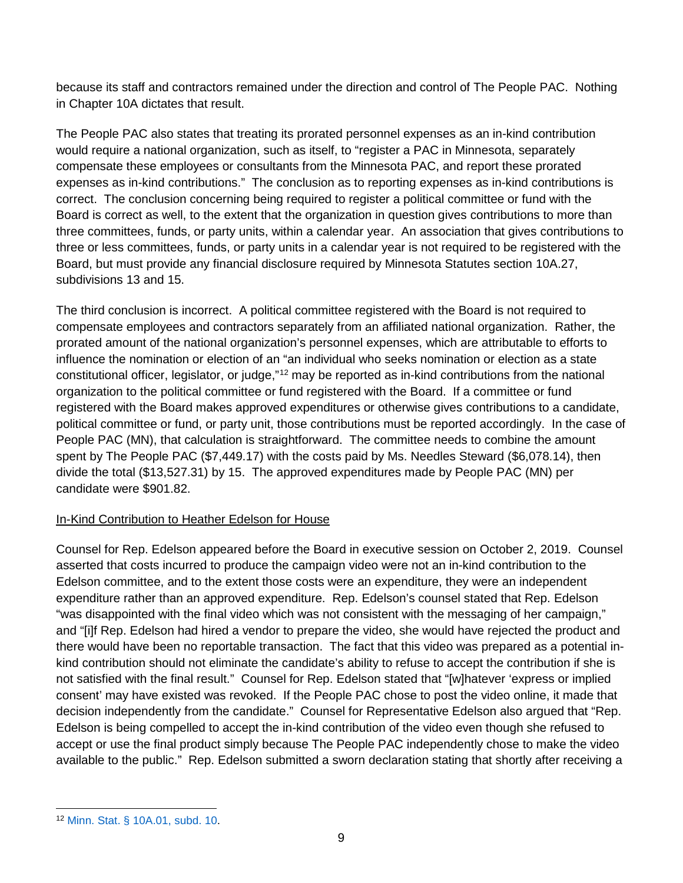because its staff and contractors remained under the direction and control of The People PAC. Nothing in Chapter 10A dictates that result.

The People PAC also states that treating its prorated personnel expenses as an in-kind contribution would require a national organization, such as itself, to "register a PAC in Minnesota, separately compensate these employees or consultants from the Minnesota PAC, and report these prorated expenses as in-kind contributions." The conclusion as to reporting expenses as in-kind contributions is correct. The conclusion concerning being required to register a political committee or fund with the Board is correct as well, to the extent that the organization in question gives contributions to more than three committees, funds, or party units, within a calendar year. An association that gives contributions to three or less committees, funds, or party units in a calendar year is not required to be registered with the Board, but must provide any financial disclosure required by Minnesota Statutes section 10A.27, subdivisions 13 and 15.

The third conclusion is incorrect. A political committee registered with the Board is not required to compensate employees and contractors separately from an affiliated national organization. Rather, the prorated amount of the national organization's personnel expenses, which are attributable to efforts to influence the nomination or election of an "an individual who seeks nomination or election as a state constitutional officer, legislator, or judge,"[12](#page-8-0) may be reported as in-kind contributions from the national organization to the political committee or fund registered with the Board. If a committee or fund registered with the Board makes approved expenditures or otherwise gives contributions to a candidate, political committee or fund, or party unit, those contributions must be reported accordingly. In the case of People PAC (MN), that calculation is straightforward. The committee needs to combine the amount spent by The People PAC (\$7,449.17) with the costs paid by Ms. Needles Steward (\$6,078.14), then divide the total (\$13,527.31) by 15. The approved expenditures made by People PAC (MN) per candidate were \$901.82.

## In-Kind Contribution to Heather Edelson for House

Counsel for Rep. Edelson appeared before the Board in executive session on October 2, 2019. Counsel asserted that costs incurred to produce the campaign video were not an in-kind contribution to the Edelson committee, and to the extent those costs were an expenditure, they were an independent expenditure rather than an approved expenditure. Rep. Edelson's counsel stated that Rep. Edelson "was disappointed with the final video which was not consistent with the messaging of her campaign," and "[i]f Rep. Edelson had hired a vendor to prepare the video, she would have rejected the product and there would have been no reportable transaction. The fact that this video was prepared as a potential inkind contribution should not eliminate the candidate's ability to refuse to accept the contribution if she is not satisfied with the final result." Counsel for Rep. Edelson stated that "[w]hatever 'express or implied consent' may have existed was revoked. If the People PAC chose to post the video online, it made that decision independently from the candidate." Counsel for Representative Edelson also argued that "Rep. Edelson is being compelled to accept the in-kind contribution of the video even though she refused to accept or use the final product simply because The People PAC independently chose to make the video available to the public." Rep. Edelson submitted a sworn declaration stating that shortly after receiving a

<span id="page-8-0"></span> <sup>12</sup> [Minn. Stat. § 10A.01, subd. 10.](https://www.revisor.mn.gov/statutes/cite/10A.01#stat.10A.01.10)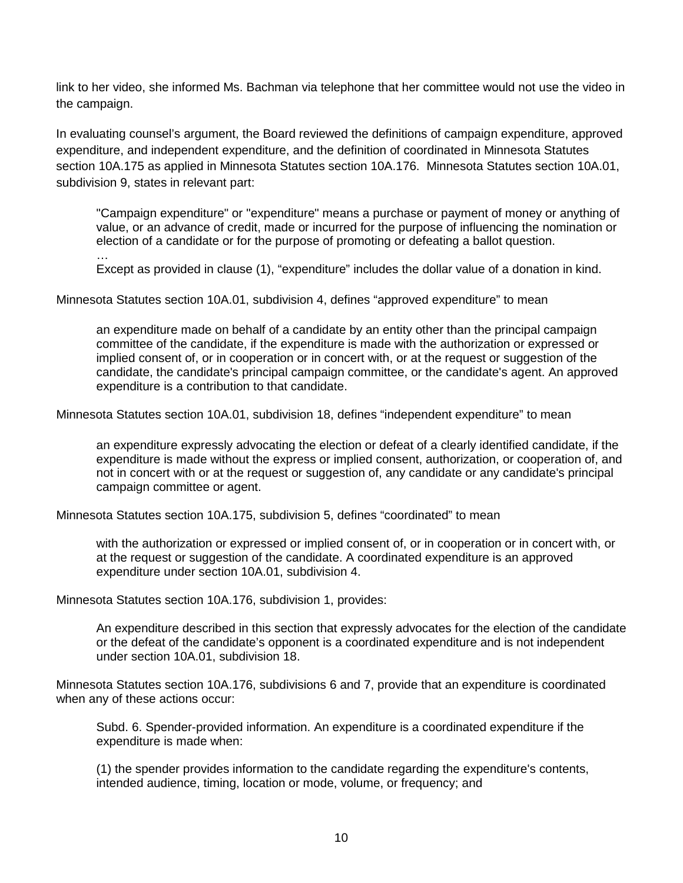link to her video, she informed Ms. Bachman via telephone that her committee would not use the video in the campaign.

In evaluating counsel's argument, the Board reviewed the definitions of campaign expenditure, approved expenditure, and independent expenditure, and the definition of coordinated in Minnesota Statutes section 10A.175 as applied in Minnesota Statutes section 10A.176. Minnesota Statutes section 10A.01, subdivision 9, states in relevant part:

"Campaign expenditure" or "expenditure" means a purchase or payment of money or anything of value, or an advance of credit, made or incurred for the purpose of influencing the nomination or election of a candidate or for the purpose of promoting or defeating a ballot question.

… Except as provided in clause (1), "expenditure" includes the dollar value of a donation in kind.

Minnesota Statutes section 10A.01, subdivision 4, defines "approved expenditure" to mean

an expenditure made on behalf of a candidate by an entity other than the principal campaign committee of the candidate, if the expenditure is made with the authorization or expressed or implied consent of, or in cooperation or in concert with, or at the request or suggestion of the candidate, the candidate's principal campaign committee, or the candidate's agent. An approved expenditure is a contribution to that candidate.

Minnesota Statutes section 10A.01, subdivision 18, defines "independent expenditure" to mean

an expenditure expressly advocating the election or defeat of a clearly identified candidate, if the expenditure is made without the express or implied consent, authorization, or cooperation of, and not in concert with or at the request or suggestion of, any candidate or any candidate's principal campaign committee or agent.

Minnesota Statutes section 10A.175, subdivision 5, defines "coordinated" to mean

with the authorization or expressed or implied consent of, or in cooperation or in concert with, or at the request or suggestion of the candidate. A coordinated expenditure is an approved expenditure under section 10A.01, subdivision 4.

Minnesota Statutes section 10A.176, subdivision 1, provides:

An expenditure described in this section that expressly advocates for the election of the candidate or the defeat of the candidate's opponent is a coordinated expenditure and is not independent under section 10A.01, subdivision 18.

Minnesota Statutes section 10A.176, subdivisions 6 and 7, provide that an expenditure is coordinated when any of these actions occur:

Subd. 6. Spender-provided information. An expenditure is a coordinated expenditure if the expenditure is made when:

(1) the spender provides information to the candidate regarding the expenditure's contents, intended audience, timing, location or mode, volume, or frequency; and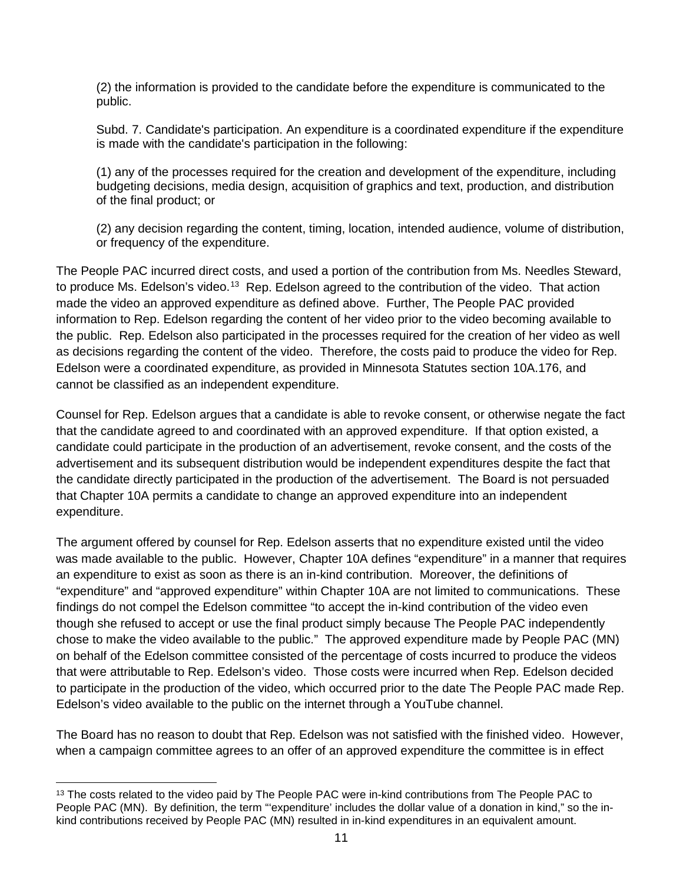(2) the information is provided to the candidate before the expenditure is communicated to the public.

Subd. 7. Candidate's participation. An expenditure is a coordinated expenditure if the expenditure is made with the candidate's participation in the following:

(1) any of the processes required for the creation and development of the expenditure, including budgeting decisions, media design, acquisition of graphics and text, production, and distribution of the final product; or

(2) any decision regarding the content, timing, location, intended audience, volume of distribution, or frequency of the expenditure.

The People PAC incurred direct costs, and used a portion of the contribution from Ms. Needles Steward, to produce Ms. Edelson's video.<sup>[13](#page-10-0)</sup> Rep. Edelson agreed to the contribution of the video. That action made the video an approved expenditure as defined above. Further, The People PAC provided information to Rep. Edelson regarding the content of her video prior to the video becoming available to the public. Rep. Edelson also participated in the processes required for the creation of her video as well as decisions regarding the content of the video. Therefore, the costs paid to produce the video for Rep. Edelson were a coordinated expenditure, as provided in Minnesota Statutes section 10A.176, and cannot be classified as an independent expenditure.

Counsel for Rep. Edelson argues that a candidate is able to revoke consent, or otherwise negate the fact that the candidate agreed to and coordinated with an approved expenditure. If that option existed, a candidate could participate in the production of an advertisement, revoke consent, and the costs of the advertisement and its subsequent distribution would be independent expenditures despite the fact that the candidate directly participated in the production of the advertisement. The Board is not persuaded that Chapter 10A permits a candidate to change an approved expenditure into an independent expenditure.

The argument offered by counsel for Rep. Edelson asserts that no expenditure existed until the video was made available to the public. However, Chapter 10A defines "expenditure" in a manner that requires an expenditure to exist as soon as there is an in-kind contribution. Moreover, the definitions of "expenditure" and "approved expenditure" within Chapter 10A are not limited to communications. These findings do not compel the Edelson committee "to accept the in-kind contribution of the video even though she refused to accept or use the final product simply because The People PAC independently chose to make the video available to the public." The approved expenditure made by People PAC (MN) on behalf of the Edelson committee consisted of the percentage of costs incurred to produce the videos that were attributable to Rep. Edelson's video. Those costs were incurred when Rep. Edelson decided to participate in the production of the video, which occurred prior to the date The People PAC made Rep. Edelson's video available to the public on the internet through a YouTube channel.

The Board has no reason to doubt that Rep. Edelson was not satisfied with the finished video. However, when a campaign committee agrees to an offer of an approved expenditure the committee is in effect

<span id="page-10-0"></span><sup>&</sup>lt;sup>13</sup> The costs related to the video paid by The People PAC were in-kind contributions from The People PAC to People PAC (MN). By definition, the term "expenditure' includes the dollar value of a donation in kind," so the inkind contributions received by People PAC (MN) resulted in in-kind expenditures in an equivalent amount.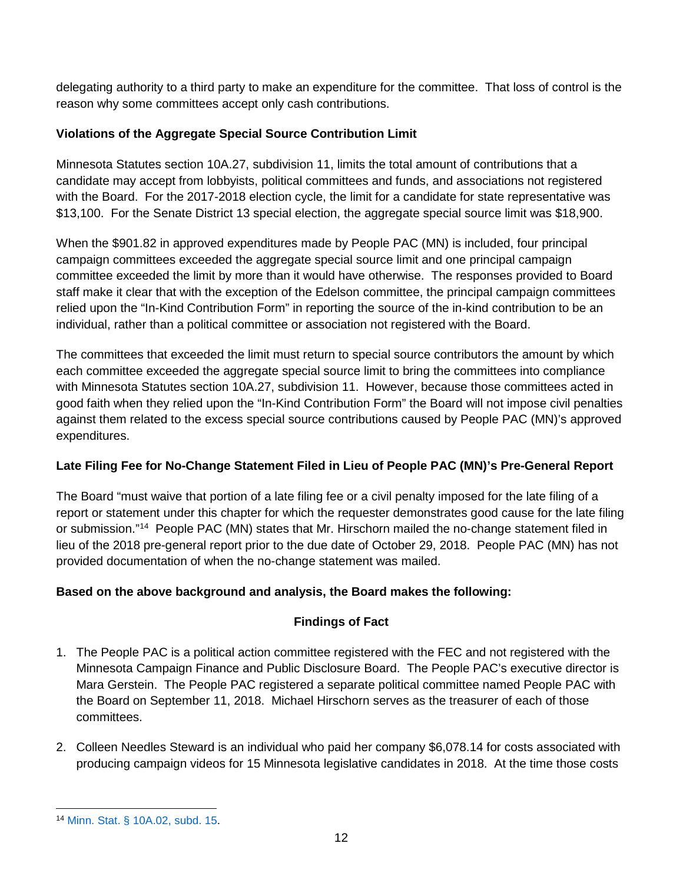delegating authority to a third party to make an expenditure for the committee. That loss of control is the reason why some committees accept only cash contributions.

# **Violations of the Aggregate Special Source Contribution Limit**

Minnesota Statutes section 10A.27, subdivision 11, limits the total amount of contributions that a candidate may accept from lobbyists, political committees and funds, and associations not registered with the Board. For the 2017-2018 election cycle, the limit for a candidate for state representative was \$13,100. For the Senate District 13 special election, the aggregate special source limit was \$18,900.

When the \$901.82 in approved expenditures made by People PAC (MN) is included, four principal campaign committees exceeded the aggregate special source limit and one principal campaign committee exceeded the limit by more than it would have otherwise. The responses provided to Board staff make it clear that with the exception of the Edelson committee, the principal campaign committees relied upon the "In-Kind Contribution Form" in reporting the source of the in-kind contribution to be an individual, rather than a political committee or association not registered with the Board.

The committees that exceeded the limit must return to special source contributors the amount by which each committee exceeded the aggregate special source limit to bring the committees into compliance with Minnesota Statutes section 10A.27, subdivision 11. However, because those committees acted in good faith when they relied upon the "In-Kind Contribution Form" the Board will not impose civil penalties against them related to the excess special source contributions caused by People PAC (MN)'s approved expenditures.

# **Late Filing Fee for No-Change Statement Filed in Lieu of People PAC (MN)'s Pre-General Report**

The Board "must waive that portion of a late filing fee or a civil penalty imposed for the late filing of a report or statement under this chapter for which the requester demonstrates good cause for the late filing or submission."[14](#page-11-0) People PAC (MN) states that Mr. Hirschorn mailed the no-change statement filed in lieu of the 2018 pre-general report prior to the due date of October 29, 2018. People PAC (MN) has not provided documentation of when the no-change statement was mailed.

## **Based on the above background and analysis, the Board makes the following:**

# **Findings of Fact**

- 1. The People PAC is a political action committee registered with the FEC and not registered with the Minnesota Campaign Finance and Public Disclosure Board. The People PAC's executive director is Mara Gerstein. The People PAC registered a separate political committee named People PAC with the Board on September 11, 2018. Michael Hirschorn serves as the treasurer of each of those committees.
- 2. Colleen Needles Steward is an individual who paid her company \$6,078.14 for costs associated with producing campaign videos for 15 Minnesota legislative candidates in 2018. At the time those costs

<span id="page-11-0"></span> <sup>14</sup> [Minn. Stat. § 10A.02, subd.](https://www.revisor.mn.gov/statutes/cite/10A.02#stat.10A.02.15) 15.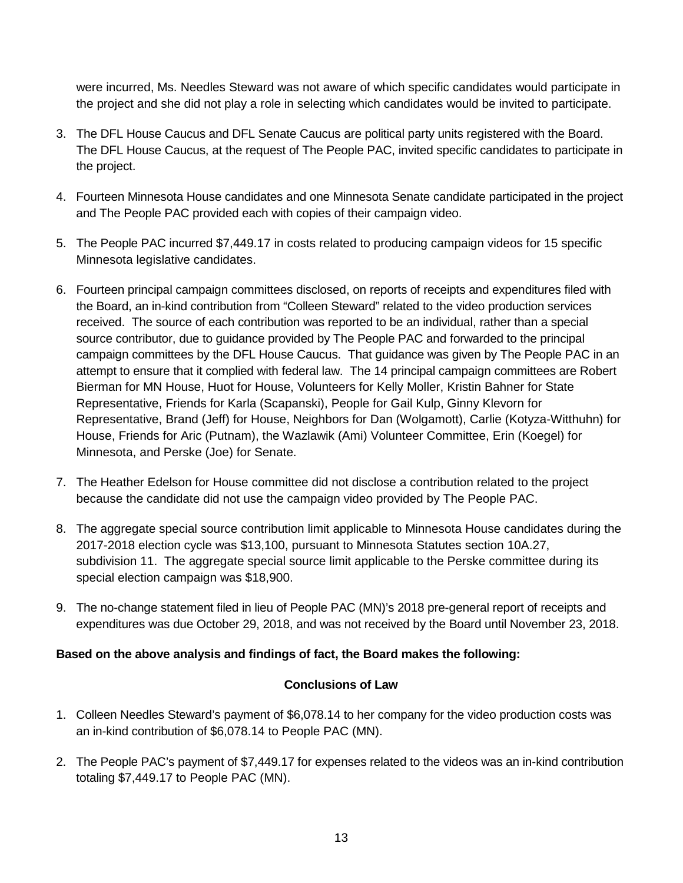were incurred, Ms. Needles Steward was not aware of which specific candidates would participate in the project and she did not play a role in selecting which candidates would be invited to participate.

- 3. The DFL House Caucus and DFL Senate Caucus are political party units registered with the Board. The DFL House Caucus, at the request of The People PAC, invited specific candidates to participate in the project.
- 4. Fourteen Minnesota House candidates and one Minnesota Senate candidate participated in the project and The People PAC provided each with copies of their campaign video.
- 5. The People PAC incurred \$7,449.17 in costs related to producing campaign videos for 15 specific Minnesota legislative candidates.
- 6. Fourteen principal campaign committees disclosed, on reports of receipts and expenditures filed with the Board, an in-kind contribution from "Colleen Steward" related to the video production services received. The source of each contribution was reported to be an individual, rather than a special source contributor, due to guidance provided by The People PAC and forwarded to the principal campaign committees by the DFL House Caucus. That guidance was given by The People PAC in an attempt to ensure that it complied with federal law. The 14 principal campaign committees are Robert Bierman for MN House, Huot for House, Volunteers for Kelly Moller, Kristin Bahner for State Representative, Friends for Karla (Scapanski), People for Gail Kulp, Ginny Klevorn for Representative, Brand (Jeff) for House, Neighbors for Dan (Wolgamott), Carlie (Kotyza-Witthuhn) for House, Friends for Aric (Putnam), the Wazlawik (Ami) Volunteer Committee, Erin (Koegel) for Minnesota, and Perske (Joe) for Senate.
- 7. The Heather Edelson for House committee did not disclose a contribution related to the project because the candidate did not use the campaign video provided by The People PAC.
- 8. The aggregate special source contribution limit applicable to Minnesota House candidates during the 2017-2018 election cycle was \$13,100, pursuant to Minnesota Statutes section 10A.27, subdivision 11. The aggregate special source limit applicable to the Perske committee during its special election campaign was \$18,900.
- 9. The no-change statement filed in lieu of People PAC (MN)'s 2018 pre-general report of receipts and expenditures was due October 29, 2018, and was not received by the Board until November 23, 2018.

### **Based on the above analysis and findings of fact, the Board makes the following:**

### **Conclusions of Law**

- 1. Colleen Needles Steward's payment of \$6,078.14 to her company for the video production costs was an in-kind contribution of \$6,078.14 to People PAC (MN).
- 2. The People PAC's payment of \$7,449.17 for expenses related to the videos was an in-kind contribution totaling \$7,449.17 to People PAC (MN).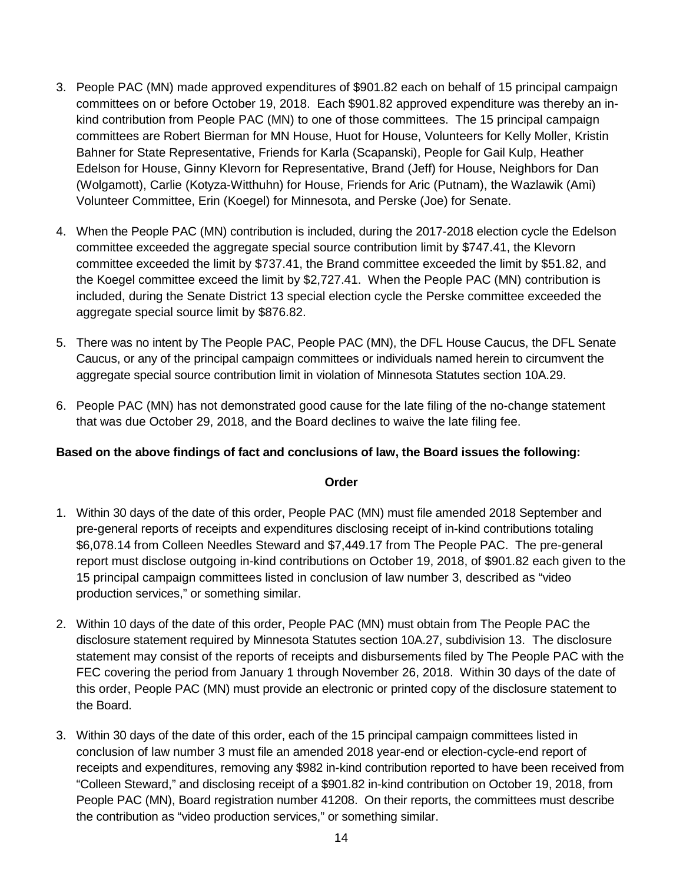- 3. People PAC (MN) made approved expenditures of \$901.82 each on behalf of 15 principal campaign committees on or before October 19, 2018. Each \$901.82 approved expenditure was thereby an inkind contribution from People PAC (MN) to one of those committees. The 15 principal campaign committees are Robert Bierman for MN House, Huot for House, Volunteers for Kelly Moller, Kristin Bahner for State Representative, Friends for Karla (Scapanski), People for Gail Kulp, Heather Edelson for House, Ginny Klevorn for Representative, Brand (Jeff) for House, Neighbors for Dan (Wolgamott), Carlie (Kotyza-Witthuhn) for House, Friends for Aric (Putnam), the Wazlawik (Ami) Volunteer Committee, Erin (Koegel) for Minnesota, and Perske (Joe) for Senate.
- 4. When the People PAC (MN) contribution is included, during the 2017-2018 election cycle the Edelson committee exceeded the aggregate special source contribution limit by \$747.41, the Klevorn committee exceeded the limit by \$737.41, the Brand committee exceeded the limit by \$51.82, and the Koegel committee exceed the limit by \$2,727.41. When the People PAC (MN) contribution is included, during the Senate District 13 special election cycle the Perske committee exceeded the aggregate special source limit by \$876.82.
- 5. There was no intent by The People PAC, People PAC (MN), the DFL House Caucus, the DFL Senate Caucus, or any of the principal campaign committees or individuals named herein to circumvent the aggregate special source contribution limit in violation of Minnesota Statutes section 10A.29.
- 6. People PAC (MN) has not demonstrated good cause for the late filing of the no-change statement that was due October 29, 2018, and the Board declines to waive the late filing fee.

### **Based on the above findings of fact and conclusions of law, the Board issues the following:**

#### **Order**

- 1. Within 30 days of the date of this order, People PAC (MN) must file amended 2018 September and pre-general reports of receipts and expenditures disclosing receipt of in-kind contributions totaling \$6,078.14 from Colleen Needles Steward and \$7,449.17 from The People PAC. The pre-general report must disclose outgoing in-kind contributions on October 19, 2018, of \$901.82 each given to the 15 principal campaign committees listed in conclusion of law number 3, described as "video production services," or something similar.
- 2. Within 10 days of the date of this order, People PAC (MN) must obtain from The People PAC the disclosure statement required by Minnesota Statutes section 10A.27, subdivision 13. The disclosure statement may consist of the reports of receipts and disbursements filed by The People PAC with the FEC covering the period from January 1 through November 26, 2018. Within 30 days of the date of this order, People PAC (MN) must provide an electronic or printed copy of the disclosure statement to the Board.
- 3. Within 30 days of the date of this order, each of the 15 principal campaign committees listed in conclusion of law number 3 must file an amended 2018 year-end or election-cycle-end report of receipts and expenditures, removing any \$982 in-kind contribution reported to have been received from "Colleen Steward," and disclosing receipt of a \$901.82 in-kind contribution on October 19, 2018, from People PAC (MN), Board registration number 41208. On their reports, the committees must describe the contribution as "video production services," or something similar.